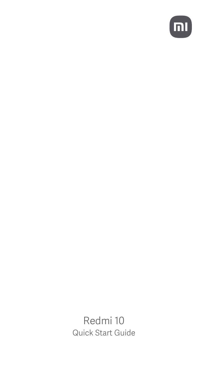

Redmi 10 Quick Start Guide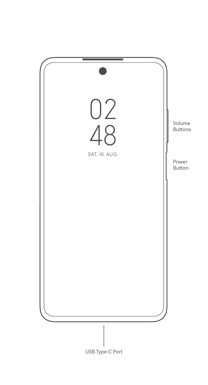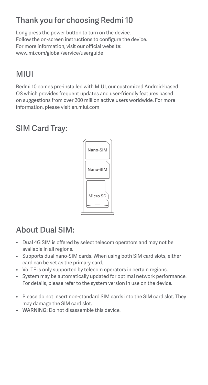## Thank you for choosing Redmi 10

Long press the power button to turn on the device. Follow the on-screen instructions to configure the device. For more information, visit our official website: www.mi.com/global/service/userguide

## MIUI

Redmi 10 comes pre-installed with MIUI, our customized Android-based OS which provides frequent updates and user-friendly features based on suggestions from over 200 million active users worldwide. For more information, please visit en.miui.com

## SIM Card Tray:



## About Dual SIM:

- Dual 4G SIM is offered by select telecom operators and may not be available in all regions.
- Supports dual nano-SIM cards. When using both SIM card slots, either card can be set as the primary card.
- VoLTE is only supported by telecom operators in certain regions.
- System may be automatically updated for optimal network performance. For details, please refer to the system version in use on the device.
- Please do not insert non-standard SIM cards into the SIM card slot. They may damage the SIM card slot.
- WARNING: Do not disassemble this device.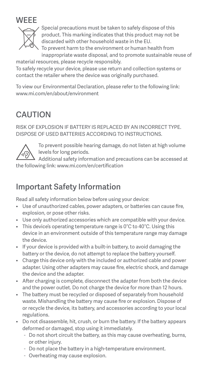



Special precautions must be taken to safely dispose of this product. This marking indicates that this product may not be discarded with other household waste in the EU.

To prevent harm to the environment or human health from inappropriate waste disposal, and to promote sustainable reuse of material resources, please recycle responsibly.

To safely recycle your device, please use return and collection systems or contact the retailer where the device was originally purchased.

To view our Environmental Declaration, please refer to the following link: www.mi.com/en/about/environment

## **CAUTION**

RISK OF EXPLOSION IF BATTERY IS REPLACED BY AN INCORRECT TYPE. DISPOSE OF USED BATTERIES ACCORDING TO INSTRUCTIONS.



To prevent possible hearing damage, do not listen at high volume levels for long periods.

Additional safety information and precautions can be accessed at the following link: www.mi.com/en/certification

## Important Safety Information

Read all safety information below before using your device:

- Use of unauthorized cables, power adapters, or batteries can cause fire, explosion, or pose other risks.
- Use only authorized accessories which are compatible with your device.
- This device's operating temperature range is 0°C to 40°C. Using this device in an environment outside of this temperature range may damage the device.
- If your device is provided with a built-in battery, to avoid damaging the battery or the device, do not attempt to replace the battery yourself.
- Charge this device only with the included or authorized cable and power adapter. Using other adapters may cause fire, electric shock, and damage the device and the adapter.
- After charging is complete, disconnect the adapter from both the device and the power outlet. Do not charge the device for more than 12 hours.
- The battery must be recycled or disposed of separately from household waste. Mishandling the battery may cause fire or explosion. Dispose of or recycle the device, its battery, and accessories according to your local regulations.
- Do not disassemble, hit, crush, or burn the battery. If the battery appears deformed or damaged, stop using it immediately.
	- Do not short circuit the battery, as this may cause overheating, burns, or other injury.
	- Do not place the battery in a high-temperature environment.
	- Overheating may cause explosion.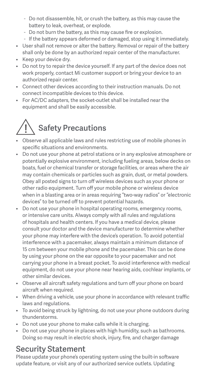- Do not disassemble, hit, or crush the battery, as this may cause the battery to leak, overheat, or explode.
- Do not burn the battery, as this may cause fire or explosion.
- If the battery appears deformed or damaged, stop using it immediately.
- User shall not remove or alter the battery. Removal or repair of the battery shall only be done by an authorized repair center of the manufacturer.
- Keep your device dry.
- Do not try to repair the device yourself. If any part of the device does not work properly, contact Mi customer support or bring your device to an authorized repair center.
- Connect other devices according to their instruction manuals. Do not connect incompatible devices to this device.
- For AC/DC adapters, the socket-outlet shall be installed near the equipment and shall be easily accessible.

# Safety Precautions

- Observe all applicable laws and rules restricting use of mobile phones in specific situations and environments.
- Do not use your phone at petrol stations or in any explosive atmosphere or potentially explosive environment, including fueling areas, below decks on boats, fuel or chemical transfer or storage facilities, or areas where the air may contain chemicals or particles such as grain, dust, or metal powders. Obey all posted signs to turn off wireless devices such as your phone or other radio equipment. Turn off your mobile phone or wireless device when in a blasting area or in areas requiring "two-way radios" or "electronic devices" to be turned off to prevent potential hazards.
- Do not use your phone in hospital operating rooms, emergency rooms, or intensive care units. Always comply with all rules and regulations of hospitals and health centers. If you have a medical device, please consult your doctor and the device manufacturer to determine whether your phone may interfere with the device's operation. To avoid potential interference with a pacemaker, always maintain a minimum distance of 15 cm between your mobile phone and the pacemaker. This can be done by using your phone on the ear opposite to your pacemaker and not carrying your phone in a breast pocket. To avoid interference with medical equipment, do not use your phone near hearing aids, cochlear implants, or other similar devices.
- Observe all aircraft safety regulations and turn off your phone on board aircraft when required.
- When driving a vehicle, use your phone in accordance with relevant traffic laws and regulations.
- To avoid being struck by lightning, do not use your phone outdoors during thunderstorms.
- Do not use your phone to make calls while it is charging.
- Do not use your phone in places with high humidity, such as bathrooms. Doing so may result in electric shock, injury, fire, and charger damage

## Security Statement

Please update your phone's operating system using the built-in software update feature, or visit any of our authorized service outlets. Updating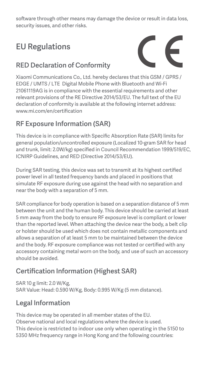software through other means may damage the device or result in data loss, security issues, and other risks.

# EU Regulations

#### RED Declaration of Conformity



Xiaomi Communications Co., Ltd. hereby declares that this GSM / GPRS / EDGE / UMTS / LTE Digital Mobile Phone with Bluetooth and Wi-Fi 21061119AG is in compliance with the essential requirements and other relevant provisions of the RE Directive 2014/53/EU. The full text of the EU declaration of conformity is available at the following internet address: www.mi.com/en/certification

#### RF Exposure Information (SAR)

This device is in compliance with Specific Absorption Rate (SAR) limits for general population/uncontrolled exposure (Localized 10-gram SAR for head and trunk, limit: 2.0W/kg) specified in Council Recommendation 1999/519/EC, ICNIRP Guidelines, and RED (Directive 2014/53/EU).

During SAR testing, this device was set to transmit at its highest certified power level in all tested frequency bands and placed in positions that simulate RF exposure during use against the head with no separation and near the body with a separation of 5 mm.

SAR compliance for body operation is based on a separation distance of 5 mm between the unit and the human body. This device should be carried at least 5 mm away from the body to ensure RF exposure level is compliant or lower than the reported level. When attaching the device near the body, a belt clip or holster should be used which does not contain metallic components and allows a separation of at least 5 mm to be maintained between the device and the body. RF exposure compliance was not tested or certified with any accessory containing metal worn on the body, and use of such an accessory should be avoided.

### Certification Information (Highest SAR)

SAR 10 g limit: 2.0 W/Kg, SAR Value: Head: 0.590 W/Kg, Body: 0.995 W/Kg (5 mm distance).

#### Legal Information

This device may be operated in all member states of the EU. Observe national and local regulations where the device is used. This device is restricted to indoor use only when operating in the 5150 to 5350 MHz frequency range in Hong Kong and the following countries: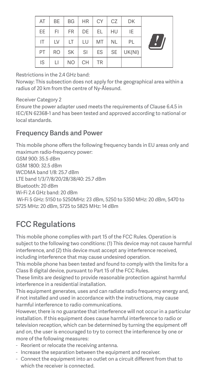| AT | BE        | <b>BG</b>      | <b>HR</b> | CY        | CZ        | DK     |  |
|----|-----------|----------------|-----------|-----------|-----------|--------|--|
| EE | FI        | <b>FR</b>      | DE        | EL        | HU        | IE     |  |
| IT | LV        | LT             | LU        | MT        | <b>NL</b> | PL     |  |
| PT | <b>RO</b> | SK             | <b>SI</b> | ES        | SE        | UK(NI) |  |
| IS | Ы         | N <sub>O</sub> | CH        | <b>TR</b> |           |        |  |

#### Restrictions in the 2.4 GHz band:

Norway: This subsection does not apply for the geographical area within a radius of 20 km from the centre of Ny-Ålesund.

#### Receiver Category 2

Ensure the power adapter used meets the requirements of Clause 6.4.5 in IEC/EN 62368-1 and has been tested and approved according to national or local standards.

#### Frequency Bands and Power

This mobile phone offers the following frequency bands in EU areas only and maximum radio-frequency power: GSM 900: 35.5 dBm GSM 1800: 32.5 dBm WCDMA band 1/8: 25.7 dBm LTE band 1/3/7/8/20/28/38/40: 25.7 dBm Bluetooth: 20 dBm Wi-Fi 2.4 GHz band: 20 dBm Wi-Fi 5 GHz: 5150 to 5250MHz: 23 dBm, 5250 to 5350 MHz: 20 dBm, 5470 to 5725 MHz: 20 dBm, 5725 to 5825 MHz: 14 dBm

## FCC Regulations

This mobile phone complies with part 15 of the FCC Rules. Operation is subject to the following two conditions: (1) This device may not cause harmful interference, and (2) this device must accept any interference received, including interference that may cause undesired operation.

This mobile phone has been tested and found to comply with the limits for a Class B digital device, pursuant to Part 15 of the FCC Rules.

These limits are designed to provide reasonable protection against harmful interference in a residential installation.

This equipment generates, uses and can radiate radio frequency energy and, if not installed and used in accordance with the instructions, may cause harmful interference to radio communications.

However, there is no guarantee that interference will not occur in a particular installation. If this equipment does cause harmful interference to radio or television reception, which can be determined by turning the equipment off and on, the user is encouraged to try to correct the interference by one or more of the following measures:

- Reorient or relocate the receiving antenna.
- Increase the separation between the equipment and receiver.
- Connect the equipment into an outlet on a circuit different from that to which the receiver is connected.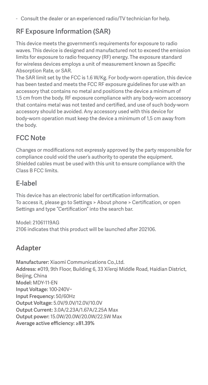- Consult the dealer or an experienced radio/TV technician for help.

### RF Exposure Information (SAR)

This device meets the government's requirements for exposure to radio waves. This device is designed and manufactured not to exceed the emission limits for exposure to radio frequency (RF) energy. The exposure standard for wireless devices employs a unit of measurement known as Specific Absorption Rate, or SAR.

The SAR limit set by the FCC is 1.6 W/Kg. For body-worn operation, this device has been tested and meets the FCC RF exposure guidelines for use with an accessory that contains no metal and positions the device a minimum of 1,5 cm from the body. RF exposure compliance with any body-worn accessory that contains metal was not tested and certified, and use of such body-worn accessory should be avoided. Any accessory used with this device for body-worn operation must keep the device a minimum of 1,5 cm away from the body.

## FCC Note

Changes or modifications not expressly approved by the party responsible for compliance could void the user's authority to operate the equipment. Shielded cables must be used with this unit to ensure compliance with the Class B FCC limits.

#### E-label

This device has an electronic label for certification information. To access it, please go to Settings > About phone > Certification, or open Settings and type "Certification" into the search bar.

Model: 21061119AG 2106 indicates that this product will be launched after 202106.

#### Adapter

Manufacturer: Xiaomi Communications Co., Ltd. Address: #019, 9th Floor, Building 6, 33 Xi'ergi Middle Road, Haidian District, Beijing, China Model: MDY-11-EN Input Voltage: 100-240V~ Input Frequency: 50/60Hz Output Voltage: 5.0V/9.0V/12.0V/10.0V Output Current: 3.0A/2.23A/1.67A/2.25A Max Output power: 15.0W/20.0W/20.0W/22.5W Max Average active efficiency: ≥81.39%